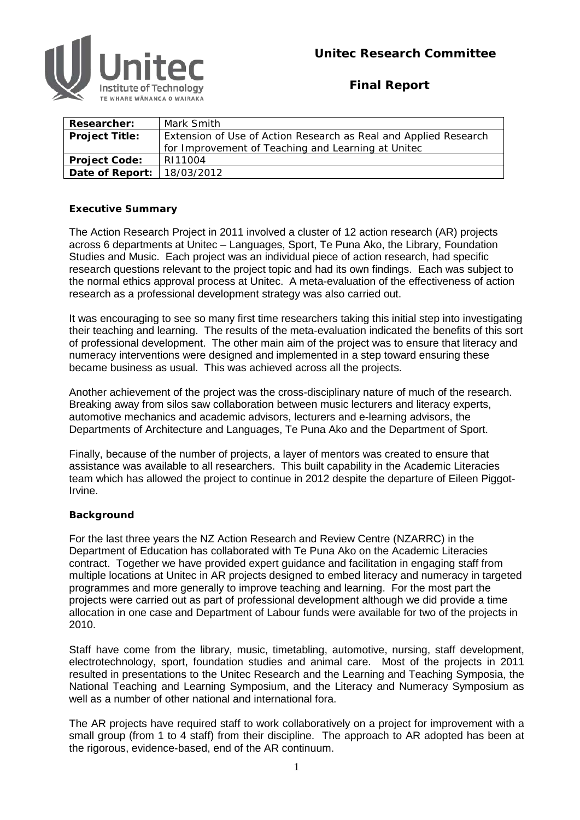

**Final Report** 

| <b>Researcher:</b>                  | Mark Smith                                                       |  |
|-------------------------------------|------------------------------------------------------------------|--|
| <b>Project Title:</b>               | Extension of Use of Action Research as Real and Applied Research |  |
|                                     | for Improvement of Teaching and Learning at United               |  |
| <b>Project Code:</b>                | RI11004                                                          |  |
| <b>Date of Report:</b>   18/03/2012 |                                                                  |  |

#### **Executive Summary**

The Action Research Project in 2011 involved a cluster of 12 action research (AR) projects across 6 departments at Unitec – Languages, Sport, Te Puna Ako, the Library, Foundation Studies and Music. Each project was an individual piece of action research, had specific research questions relevant to the project topic and had its own findings. Each was subject to the normal ethics approval process at Unitec. A meta-evaluation of the effectiveness of action research as a professional development strategy was also carried out.

It was encouraging to see so many first time researchers taking this initial step into investigating their teaching and learning. The results of the meta-evaluation indicated the benefits of this sort of professional development. The other main aim of the project was to ensure that literacy and numeracy interventions were designed and implemented in a step toward ensuring these became business as usual. This was achieved across all the projects.

Another achievement of the project was the cross-disciplinary nature of much of the research. Breaking away from silos saw collaboration between music lecturers and literacy experts, automotive mechanics and academic advisors, lecturers and e-learning advisors, the Departments of Architecture and Languages, Te Puna Ako and the Department of Sport.

Finally, because of the number of projects, a layer of mentors was created to ensure that assistance was available to all researchers. This built capability in the Academic Literacies team which has allowed the project to continue in 2012 despite the departure of Eileen Piggot-Irvine.

#### **Background**

For the last three years the NZ Action Research and Review Centre (NZARRC) in the Department of Education has collaborated with Te Puna Ako on the Academic Literacies contract. Together we have provided expert guidance and facilitation in engaging staff from multiple locations at Unitec in AR projects designed to embed literacy and numeracy in targeted programmes and more generally to improve teaching and learning. For the most part the projects were carried out as part of professional development although we did provide a time allocation in one case and Department of Labour funds were available for two of the projects in 2010.

Staff have come from the library, music, timetabling, automotive, nursing, staff development, electrotechnology, sport, foundation studies and animal care. Most of the projects in 2011 resulted in presentations to the Unitec Research and the Learning and Teaching Symposia, the National Teaching and Learning Symposium, and the Literacy and Numeracy Symposium as well as a number of other national and international fora.

The AR projects have required staff to work collaboratively on a project for improvement with a small group (from 1 to 4 staff) from their discipline. The approach to AR adopted has been at the rigorous, evidence-based, end of the AR continuum.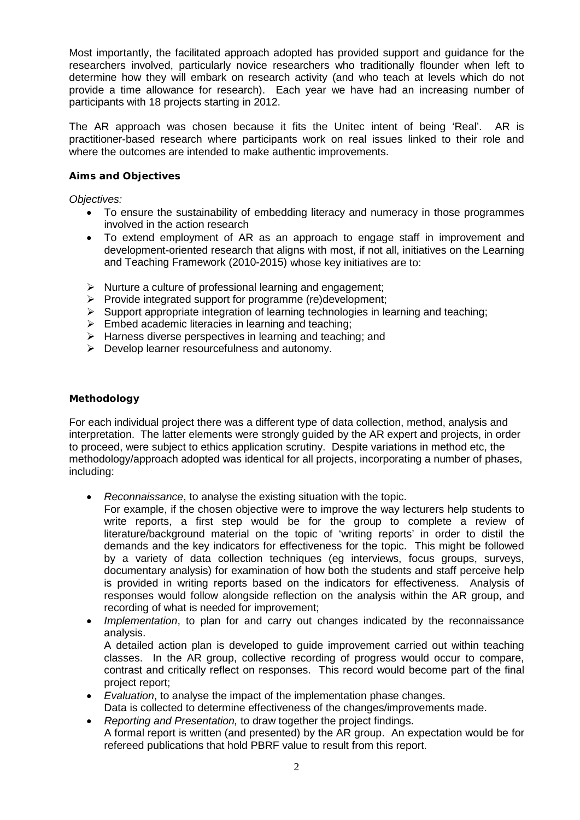Most importantly, the facilitated approach adopted has provided support and guidance for the researchers involved, particularly novice researchers who traditionally flounder when left to determine how they will embark on research activity (and who teach at levels which do not provide a time allowance for research). Each year we have had an increasing number of participants with 18 projects starting in 2012.

The AR approach was chosen because it fits the Unitec intent of being 'Real'. AR is practitioner-based research where participants work on real issues linked to their role and where the outcomes are intended to make authentic improvements.

#### **Aims and Objectives**

*Objectives:*

- To ensure the sustainability of embedding literacy and numeracy in those programmes involved in the action research
- To extend employment of AR as an approach to engage staff in improvement and development-oriented research that aligns with most, if not all, initiatives on the Learning and Teaching Framework (2010-2015) whose key initiatives are to:
- $\triangleright$  Nurture a culture of professional learning and engagement:
- $\triangleright$  Provide integrated support for programme (re)development;
- $\triangleright$  Support appropriate integration of learning technologies in learning and teaching;
- $\triangleright$  Embed academic literacies in learning and teaching;
- $\triangleright$  Harness diverse perspectives in learning and teaching; and
- $\triangleright$  Develop learner resourcefulness and autonomy.

#### **Methodology**

For each individual project there was a different type of data collection, method, analysis and interpretation. The latter elements were strongly guided by the AR expert and projects, in order to proceed, were subject to ethics application scrutiny. Despite variations in method etc, the methodology/approach adopted was identical for all projects, incorporating a number of phases, including:

- *Reconnaissance*, to analyse the existing situation with the topic.
	- For example, if the chosen objective were to improve the way lecturers help students to write reports, a first step would be for the group to complete a review of literature/background material on the topic of 'writing reports' in order to distil the demands and the key indicators for effectiveness for the topic. This might be followed by a variety of data collection techniques (eg interviews, focus groups, surveys, documentary analysis) for examination of how both the students and staff perceive help is provided in writing reports based on the indicators for effectiveness. Analysis of responses would follow alongside reflection on the analysis within the AR group, and recording of what is needed for improvement;
- *Implementation*, to plan for and carry out changes indicated by the reconnaissance analysis.

A detailed action plan is developed to guide improvement carried out within teaching classes. In the AR group, collective recording of progress would occur to compare, contrast and critically reflect on responses. This record would become part of the final project report;

• *Evaluation*, to analyse the impact of the implementation phase changes.

Data is collected to determine effectiveness of the changes/improvements made.

• *Reporting and Presentation,* to draw together the project findings. A formal report is written (and presented) by the AR group. An expectation would be for refereed publications that hold PBRF value to result from this report.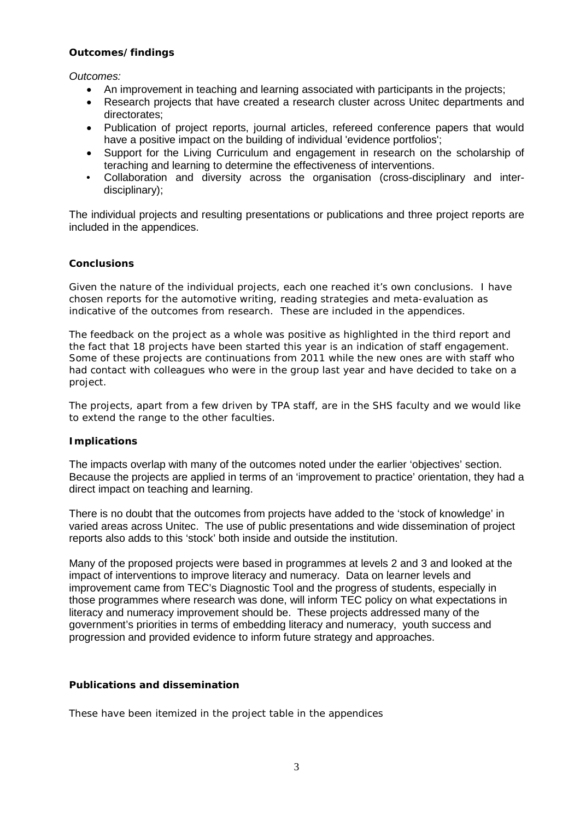#### **Outcomes/findings**

*Outcomes:*

- An improvement in teaching and learning associated with participants in the projects;
- Research projects that have created a research cluster across Unitec departments and directorates;
- Publication of project reports, journal articles, refereed conference papers that would have a positive impact on the building of individual 'evidence portfolios';
- Support for the Living Curriculum and engagement in research on the scholarship of teraching and learning to determine the effectiveness of interventions.
- Collaboration and diversity across the organisation (cross-disciplinary and interdisciplinary);

The individual projects and resulting presentations or publications and three project reports are included in the appendices.

#### **Conclusions**

Given the nature of the individual projects, each one reached it's own conclusions. I have chosen reports for the automotive writing, reading strategies and meta-evaluation as indicative of the outcomes from research. These are included in the appendices.

The feedback on the project as a whole was positive as highlighted in the third report and the fact that 18 projects have been started this year is an indication of staff engagement. Some of these projects are continuations from 2011 while the new ones are with staff who had contact with colleagues who were in the group last year and have decided to take on a project.

The projects, apart from a few driven by TPA staff, are in the SHS faculty and we would like to extend the range to the other faculties.

#### **Implications**

The impacts overlap with many of the outcomes noted under the earlier 'objectives' section. Because the projects are applied in terms of an 'improvement to practice' orientation, they had a direct impact on teaching and learning.

There is no doubt that the outcomes from projects have added to the 'stock of knowledge' in varied areas across Unitec. The use of public presentations and wide dissemination of project reports also adds to this 'stock' both inside and outside the institution.

Many of the proposed projects were based in programmes at levels 2 and 3 and looked at the impact of interventions to improve literacy and numeracy. Data on learner levels and improvement came from TEC's Diagnostic Tool and the progress of students, especially in those programmes where research was done, will inform TEC policy on what expectations in literacy and numeracy improvement should be. These projects addressed many of the government's priorities in terms of embedding literacy and numeracy, youth success and progression and provided evidence to inform future strategy and approaches.

#### **Publications and dissemination**

These have been itemized in the project table in the appendices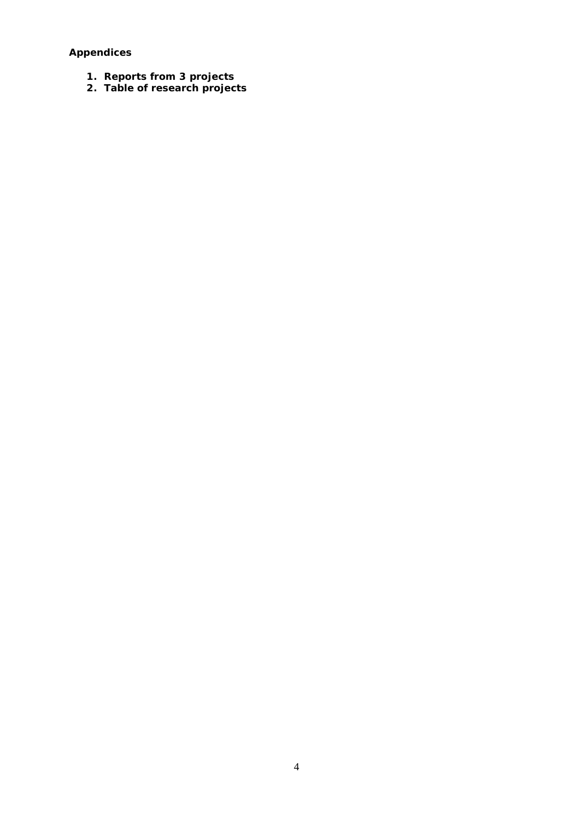**Appendices** 

- **1. Reports from 3 projects**
- **2. Table of research projects**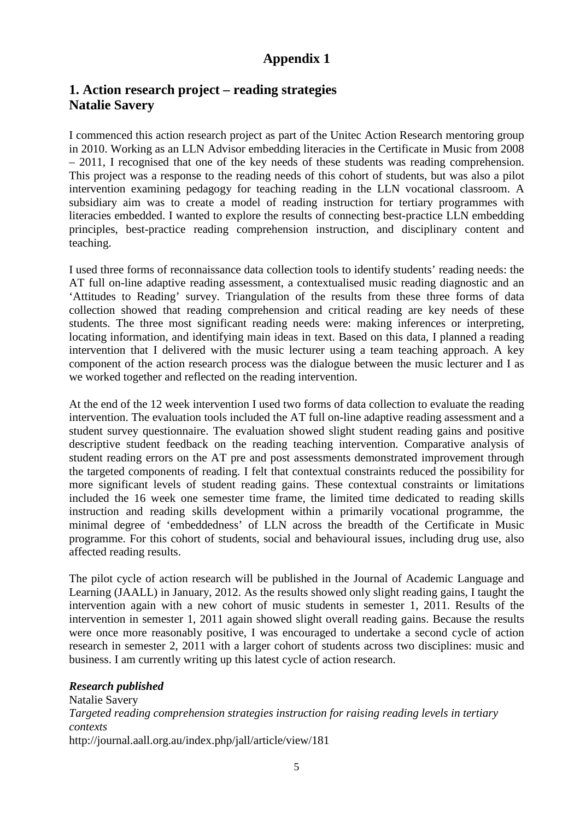# **Appendix 1**

## **1. Action research project – reading strategies Natalie Savery**

I commenced this action research project as part of the Unitec Action Research mentoring group in 2010. Working as an LLN Advisor embedding literacies in the Certificate in Music from 2008 – 2011, I recognised that one of the key needs of these students was reading comprehension. This project was a response to the reading needs of this cohort of students, but was also a pilot intervention examining pedagogy for teaching reading in the LLN vocational classroom. A subsidiary aim was to create a model of reading instruction for tertiary programmes with literacies embedded. I wanted to explore the results of connecting best-practice LLN embedding principles, best-practice reading comprehension instruction, and disciplinary content and teaching.

I used three forms of reconnaissance data collection tools to identify students' reading needs: the AT full on-line adaptive reading assessment, a contextualised music reading diagnostic and an 'Attitudes to Reading' survey. Triangulation of the results from these three forms of data collection showed that reading comprehension and critical reading are key needs of these students. The three most significant reading needs were: making inferences or interpreting, locating information, and identifying main ideas in text. Based on this data, I planned a reading intervention that I delivered with the music lecturer using a team teaching approach. A key component of the action research process was the dialogue between the music lecturer and I as we worked together and reflected on the reading intervention.

At the end of the 12 week intervention I used two forms of data collection to evaluate the reading intervention. The evaluation tools included the AT full on-line adaptive reading assessment and a student survey questionnaire. The evaluation showed slight student reading gains and positive descriptive student feedback on the reading teaching intervention. Comparative analysis of student reading errors on the AT pre and post assessments demonstrated improvement through the targeted components of reading. I felt that contextual constraints reduced the possibility for more significant levels of student reading gains. These contextual constraints or limitations included the 16 week one semester time frame, the limited time dedicated to reading skills instruction and reading skills development within a primarily vocational programme, the minimal degree of 'embeddedness' of LLN across the breadth of the Certificate in Music programme. For this cohort of students, social and behavioural issues, including drug use, also affected reading results.

The pilot cycle of action research will be published in the Journal of Academic Language and Learning (JAALL) in January, 2012. As the results showed only slight reading gains, I taught the intervention again with a new cohort of music students in semester 1, 2011. Results of the intervention in semester 1, 2011 again showed slight overall reading gains. Because the results were once more reasonably positive, I was encouraged to undertake a second cycle of action research in semester 2, 2011 with a larger cohort of students across two disciplines: music and business. I am currently writing up this latest cycle of action research.

#### *Research published*

Natalie Savery *Targeted reading comprehension strategies instruction for raising reading levels in tertiary contexts* http://journal.aall.org.au/index.php/jall/article/view/181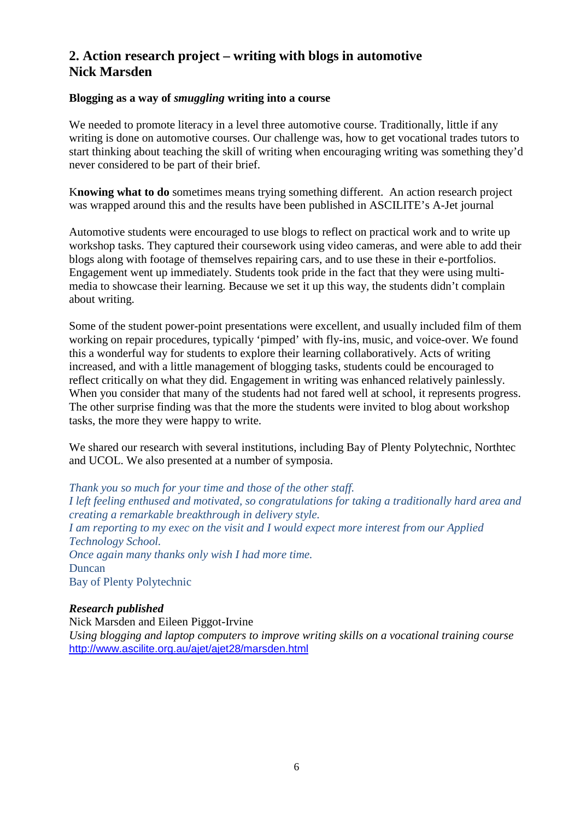# **2. Action research project – writing with blogs in automotive Nick Marsden**

## **Blogging as a way of** *smuggling* **writing into a course**

We needed to promote literacy in a level three automotive course. Traditionally, little if any writing is done on automotive courses. Our challenge was, how to get vocational trades tutors to start thinking about teaching the skill of writing when encouraging writing was something they'd never considered to be part of their brief.

K**nowing what to do** sometimes means trying something different. An action research project was wrapped around this and the results have been published in ASCILITE's A-Jet journal

Automotive students were encouraged to use blogs to reflect on practical work and to write up workshop tasks. They captured their coursework using video cameras, and were able to add their blogs along with footage of themselves repairing cars, and to use these in their e-portfolios. Engagement went up immediately. Students took pride in the fact that they were using multimedia to showcase their learning. Because we set it up this way, the students didn't complain about writing.

Some of the student power-point presentations were excellent, and usually included film of them working on repair procedures, typically 'pimped' with fly-ins, music, and voice-over. We found this a wonderful way for students to explore their learning collaboratively. Acts of writing increased, and with a little management of blogging tasks, students could be encouraged to reflect critically on what they did. Engagement in writing was enhanced relatively painlessly. When you consider that many of the students had not fared well at school, it represents progress. The other surprise finding was that the more the students were invited to blog about workshop tasks, the more they were happy to write.

We shared our research with several institutions, including Bay of Plenty Polytechnic, Northtec and UCOL. We also presented at a number of symposia.

*Thank you so much for your time and those of the other staff. I left feeling enthused and motivated, so congratulations for taking a traditionally hard area and creating a remarkable breakthrough in delivery style. I am reporting to my exec on the visit and I would expect more interest from our Applied Technology School. Once again many thanks only wish I had more time.* Duncan Bay of Plenty Polytechnic

## *Research published*

Nick Marsden and Eileen Piggot-Irvine *Using blogging and laptop computers to improve writing skills on a vocational training course* <http://www.ascilite.org.au/ajet/ajet28/marsden.html>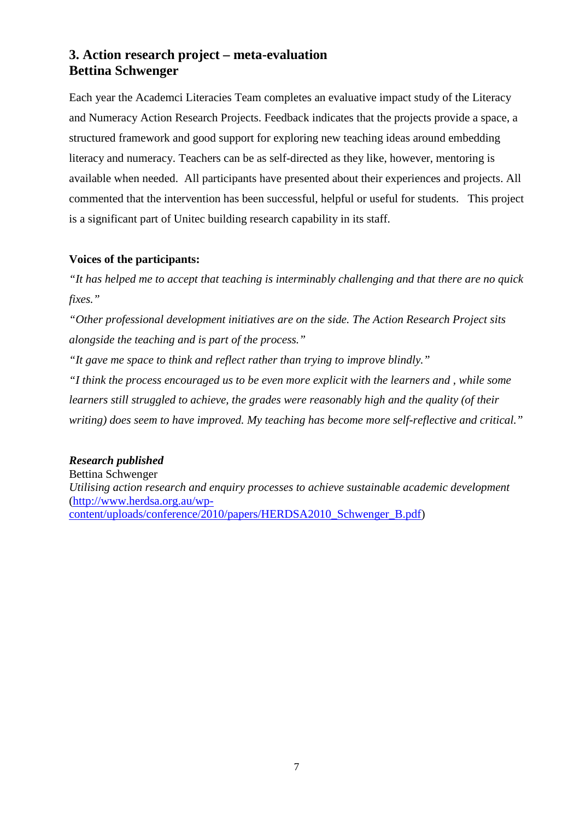# **3. Action research project – meta-evaluation Bettina Schwenger**

Each year the Academci Literacies Team completes an evaluative impact study of the Literacy and Numeracy Action Research Projects. Feedback indicates that the projects provide a space, a structured framework and good support for exploring new teaching ideas around embedding literacy and numeracy. Teachers can be as self-directed as they like, however, mentoring is available when needed. All participants have presented about their experiences and projects. All commented that the intervention has been successful, helpful or useful for students. This project is a significant part of Unitec building research capability in its staff.

## **Voices of the participants:**

*"It has helped me to accept that teaching is interminably challenging and that there are no quick fixes."* 

*"Other professional development initiatives are on the side. The Action Research Project sits alongside the teaching and is part of the process."* 

*"It gave me space to think and reflect rather than trying to improve blindly."* 

*"I think the process encouraged us to be even more explicit with the learners and , while some learners still struggled to achieve, the grades were reasonably high and the quality (of their writing) does seem to have improved. My teaching has become more self-reflective and critical."*

## *Research published*

Bettina Schwenger *Utilising action research and enquiry processes to achieve sustainable academic development* [\(http://www.herdsa.org.au/wp](http://www.herdsa.org.au/wp-content/uploads/conference/2010/papers/HERDSA2010_Schwenger_B.pdf)[content/uploads/conference/2010/papers/HERDSA2010\\_Schwenger\\_B.pdf\)](http://www.herdsa.org.au/wp-content/uploads/conference/2010/papers/HERDSA2010_Schwenger_B.pdf)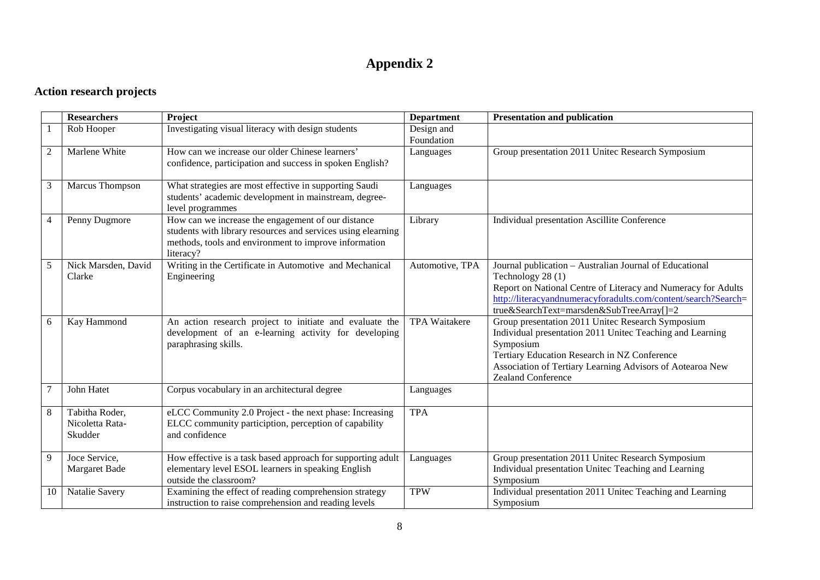# **Appendix 2**

# **Action research projects**

|                | <b>Researchers</b>                           | Project                                                                                                                                                                                  | <b>Department</b>        | <b>Presentation and publication</b>                                                                                                                                                                                                                                   |
|----------------|----------------------------------------------|------------------------------------------------------------------------------------------------------------------------------------------------------------------------------------------|--------------------------|-----------------------------------------------------------------------------------------------------------------------------------------------------------------------------------------------------------------------------------------------------------------------|
|                | Rob Hooper                                   | Investigating visual literacy with design students                                                                                                                                       | Design and<br>Foundation |                                                                                                                                                                                                                                                                       |
| $\mathfrak{2}$ | Marlene White                                | How can we increase our older Chinese learners'<br>confidence, participation and success in spoken English?                                                                              | Languages                | Group presentation 2011 United Research Symposium                                                                                                                                                                                                                     |
| 3              | Marcus Thompson                              | What strategies are most effective in supporting Saudi<br>students' academic development in mainstream, degree-<br>level programmes                                                      | Languages                |                                                                                                                                                                                                                                                                       |
| $\overline{4}$ | Penny Dugmore                                | How can we increase the engagement of our distance<br>students with library resources and services using elearning<br>methods, tools and environment to improve information<br>literacy? | Library                  | Individual presentation Ascillite Conference                                                                                                                                                                                                                          |
| 5              | Nick Marsden, David<br>Clarke                | Writing in the Certificate in Automotive and Mechanical<br>Engineering                                                                                                                   | Automotive, TPA          | Journal publication - Australian Journal of Educational<br>Technology 28 (1)<br>Report on National Centre of Literacy and Numeracy for Adults<br>http://literacyandnumeracyforadults.com/content/search?Search=<br>true&SearchText=marsden&SubTreeArray[]=2           |
| 6              | Kay Hammond                                  | An action research project to initiate and evaluate the<br>development of an e-learning activity for developing<br>paraphrasing skills.                                                  | <b>TPA Waitakere</b>     | Group presentation 2011 United Research Symposium<br>Individual presentation 2011 United Teaching and Learning<br>Symposium<br>Tertiary Education Research in NZ Conference<br>Association of Tertiary Learning Advisors of Aotearoa New<br><b>Zealand Conference</b> |
| 7              | John Hatet                                   | Corpus vocabulary in an architectural degree                                                                                                                                             | Languages                |                                                                                                                                                                                                                                                                       |
| 8              | Tabitha Roder,<br>Nicoletta Rata-<br>Skudder | eLCC Community 2.0 Project - the next phase: Increasing<br>ELCC community particiption, perception of capability<br>and confidence                                                       | <b>TPA</b>               |                                                                                                                                                                                                                                                                       |
| 9              | Joce Service,<br>Margaret Bade               | How effective is a task based approach for supporting adult<br>elementary level ESOL learners in speaking English<br>outside the classroom?                                              | Languages                | Group presentation 2011 United Research Symposium<br>Individual presentation United Teaching and Learning<br>Symposium                                                                                                                                                |
| 10             | Natalie Savery                               | Examining the effect of reading comprehension strategy<br>instruction to raise comprehension and reading levels                                                                          | <b>TPW</b>               | Individual presentation 2011 United Teaching and Learning<br>Symposium                                                                                                                                                                                                |